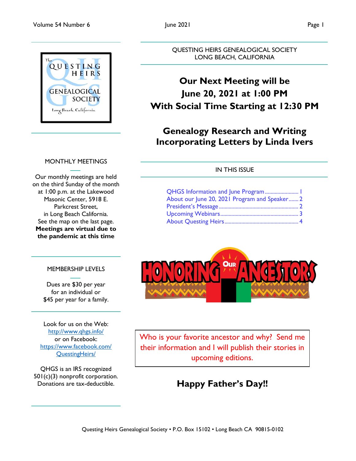

### MONTHLY MEETINGS

Our monthly meetings are held on the third Sunday of the month at 1:00 p.m. at the Lakewood Masonic Center, 5918 E. Parkcrest Street, in Long Beach California. See the map on the last page. **Meetings are virtual due to the pandemic at this time**

## MEMBERSHIP LEVELS

Dues are \$30 per year for an individual or \$45 per year for a family.

Look for us on the Web: <http://www.qhgs.info/> or on Facebook: [https://www.facebook.com/](https://www.facebook.com/%20QuestingHeirs/)  [QuestingHeirs/](https://www.facebook.com/%20QuestingHeirs/)

QHGS is an IRS recognized 501(c)(3) nonprofit corporation. Donations are tax-deductible.

Questing Heirs Genealogical Society • P.O. Box 15102 • Long Beach CA 90815-0102

#### QUESTING HEIRS GENEALOGICAL SOCIETY LONG BEACH, CALIFORNIA

## **Our Next Meeting will be June 20, 2021 at 1:00 PM With Social Time Starting at 12:30 PM**

## **Genealogy Research and Writing Incorporating Letters by Linda Ivers**

### IN THIS ISSUE

| QHGS Information and June Program  1          |  |
|-----------------------------------------------|--|
| About our June 20, 2021 Program and Speaker 2 |  |
|                                               |  |
|                                               |  |
|                                               |  |
|                                               |  |



Who is your favorite ancestor and why? Send me their information and I will publish their stories in upcoming editions.

## **Happy Father's Day!!**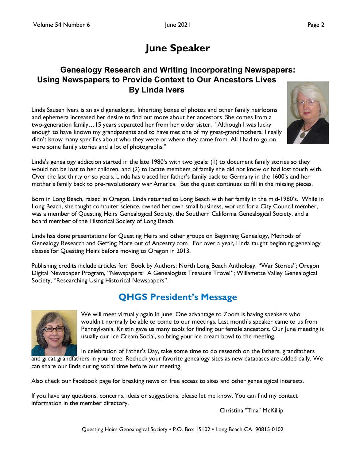# **June Speaker**

## <span id="page-1-0"></span>**Genealogy Research and Writing Incorporating Newspapers: Using Newspapers to Provide Context to Our Ancestors Lives By Linda Ivers**

Linda Sausen Ivers is an avid genealogist. Inheriting boxes of photos and other family heirlooms and ephemera increased her desire to find out more about her ancestors. She comes from a two-generation family…15 years separated her from her older sister. "Although I was lucky enough to have known my grandparents and to have met one of my great-grandmothers, I really didn't know many specifics about who they were or where they came from. All I had to go on were some family stories and a lot of photographs."



Linda's genealogy addiction started in the late 1980's with two goals: (1) to document family stories so they would not be lost to her children, and (2) to locate members of family she did not know or had lost touch with. Over the last thirty or so years, Linda has traced her father's family back to Germany in the 1600's and her mother's family back to pre-revolutionary war America. But the quest continues to fill in the missing pieces.

Born in Long Beach, raised in Oregon, Linda returned to Long Beach with her family in the mid-1980's. While in Long Beach, she taught computer science, owned her own small business, worked for a City Council member, was a member of Questing Heirs Genealogical Society, the Southern California Genealogical Society, and a board member of the Historical Society of Long Beach.

Linda has done presentations for Questing Heirs and other groups on Beginning Genealogy, Methods of Genealogy Research and Getting More out of Ancestry.com. For over a year, Linda taught beginning genealogy classes for Questing Heirs before moving to Oregon in 2013.

Publishing credits include articles for: Book by Authors: North Long Beach Anthology, "War Stories"; Oregon Digital Newspaper Program, "Newspapers: A Genealogists Treasure Trove!"; Willamette Valley Genealogical Society, "Researching Using Historical Newspapers".

## **QHGS President's Message**



We will meet virtually again in June. One advantage to Zoom is having speakers who wouldn't normally be able to come to our meetings. Last month's speaker came to us from Pennsylvania. Kristin gave us many tools for finding our female ancestors. Our June meeting is usually our Ice Cream Social, so bring your ice cream bowl to the meeting.

In celebration of Father's Day, take some time to do research on the fathers, grandfathers

and great grandfathers in your tree. Recheck your favorite genealogy sites as new databases are added daily. We can share our finds during social time before our meeting.

Also check our Facebook page for breaking news on free access to sites and other genealogical interests.

If you have any questions, concerns, ideas or suggestions, please let me know. You can find my contact information in the member directory.

Christina "Tina" McKillip

Questing Heirs Genealogical Society • P.O. Box 15102 • Long Beach CA 90815-0102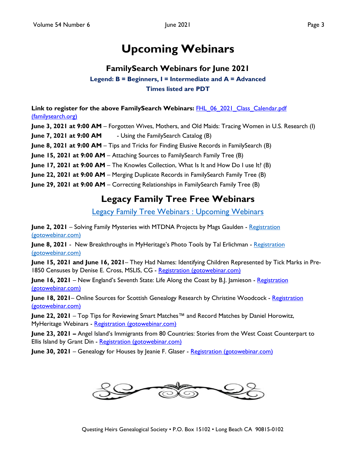# **Upcoming Webinars**

## **FamilySearch Webinars for June 2021**

**Legend: B = Beginners, I = Intermediate and A = Advanced Times listed are PDT**

<span id="page-2-0"></span>Link to register for the above FamilySearch Webinars: **FHL 06 2021 Class Calendar.pdf** [\(familysearch.org\)](https://www.familysearch.org/wiki/en/img_auth.php/2/2e/FHL_06_2021_Class_Calendar.pdf)

**June 3, 2021 at 9:00 AM** – Forgotten Wives, Mothers, and Old Maids: Tracing Women in U.S. Research (I)

**June 7, 2021 at 9:00 AM** - Using the FamilySearch Catalog (B)

**June 8, 2021 at 9:00 AM** – Tips and Tricks for Finding Elusive Records in FamilySearch (B)

**June 15, 2021 at 9:00 AM** – Attaching Sources to FamilySearch Family Tree (B)

**June 17, 2021 at 9:00 AM** – The Knowles Collection, What Is It and How Do I use It? (B)

**June 22, 2021 at 9:00 AM** – Merging Duplicate Records in FamilySearch Family Tree (B)

**June 29, 2021 at 9:00 AM** – Correcting Relationships in FamilySearch Family Tree (B)

## **Legacy Family Tree Free Webinars**

[Legacy Family Tree Webinars : Upcoming Webinars](https://familytreewebinars.com/upcoming-webinars.php)

**June 2, 2021** – Solving Family Mysteries with MTDNA Projects by Mags Gaulden - Registration [\(gotowebinar.com\)](https://register.gotowebinar.com/register/4324467605163022094)

**June 8, 2021** - New Breakthroughs in MyHeritage's Photo Tools by Tal Erlichman - [Registration](https://register.gotowebinar.com/register/4976575856958406927)  [\(gotowebinar.com\)](https://register.gotowebinar.com/register/4976575856958406927)

**June 15, 2021 and June 16, 2021**– They Had Names: Identifying Children Represented by Tick Marks in Pre-1850 Censuses by Denise E. Cross, MSLIS, CG - [Registration \(gotowebinar.com\)](https://register.gotowebinar.com/register/2130536187959305742)

**June 16, 2021** – New England's Seventh State: Life Along the Coast by B.J. Jamieson - Registration [\(gotowebinar.com\)](https://register.gotowebinar.com/register/9105025415477343758)

**June 18, 2021** – Online Sources for Scottish Genealogy Research by Christine Woodcock - Registration [\(gotowebinar.com\)](https://register.gotowebinar.com/register/5144640607321221646)

**June 22, 2021** – Top Tips for Reviewing Smart Matches™ and Record Matches by Daniel Horowitz, MyHeritage Webinars - [Registration \(gotowebinar.com\)](https://register.gotowebinar.com/register/7205153985075780878)

**June 23, 2021 –** Angel Island's Immigrants from 80 Countries: Stories from the West Coast Counterpart to Ellis Island by Grant Din - [Registration \(gotowebinar.com\)](https://register.gotowebinar.com/register/1719278157240912910)

**June 30, 2021** – Genealogy for Houses by Jeanie F. Glaser - [Registration \(gotowebinar.com\)](https://register.gotowebinar.com/register/562164214797368590)